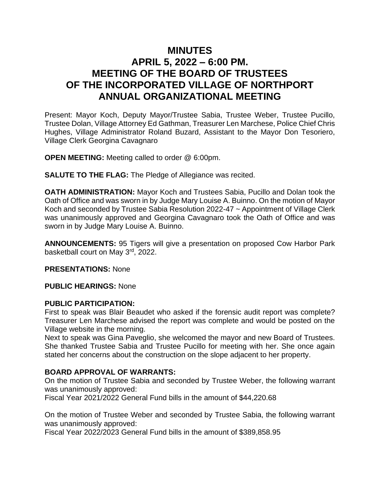# **MINUTES APRIL 5, 2022 – 6:00 PM. MEETING OF THE BOARD OF TRUSTEES OF THE INCORPORATED VILLAGE OF NORTHPORT ANNUAL ORGANIZATIONAL MEETING**

Present: Mayor Koch, Deputy Mayor/Trustee Sabia, Trustee Weber, Trustee Pucillo, Trustee Dolan, Village Attorney Ed Gathman, Treasurer Len Marchese, Police Chief Chris Hughes, Village Administrator Roland Buzard, Assistant to the Mayor Don Tesoriero, Village Clerk Georgina Cavagnaro

**OPEN MEETING:** Meeting called to order @ 6:00pm.

**SALUTE TO THE FLAG:** The Pledge of Allegiance was recited.

**OATH ADMINISTRATION:** Mayor Koch and Trustees Sabia, Pucillo and Dolan took the Oath of Office and was sworn in by Judge Mary Louise A. Buinno. On the motion of Mayor Koch and seconded by Trustee Sabia Resolution 2022-47 ~ Appointment of Village Clerk was unanimously approved and Georgina Cavagnaro took the Oath of Office and was sworn in by Judge Mary Louise A. Buinno.

**ANNOUNCEMENTS:** 95 Tigers will give a presentation on proposed Cow Harbor Park basketball court on May 3rd, 2022.

**PRESENTATIONS:** None

**PUBLIC HEARINGS:** None

#### **PUBLIC PARTICIPATION:**

First to speak was Blair Beaudet who asked if the forensic audit report was complete? Treasurer Len Marchese advised the report was complete and would be posted on the Village website in the morning.

Next to speak was Gina Paveglio, she welcomed the mayor and new Board of Trustees. She thanked Trustee Sabia and Trustee Pucillo for meeting with her. She once again stated her concerns about the construction on the slope adjacent to her property.

## **BOARD APPROVAL OF WARRANTS:**

On the motion of Trustee Sabia and seconded by Trustee Weber, the following warrant was unanimously approved:

Fiscal Year 2021/2022 General Fund bills in the amount of \$44,220.68

On the motion of Trustee Weber and seconded by Trustee Sabia, the following warrant was unanimously approved:

Fiscal Year 2022/2023 General Fund bills in the amount of \$389,858.95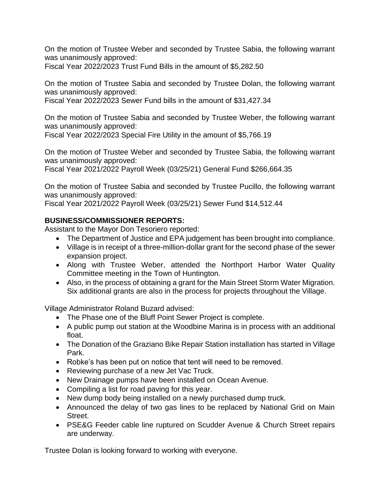On the motion of Trustee Weber and seconded by Trustee Sabia, the following warrant was unanimously approved:

Fiscal Year 2022/2023 Trust Fund Bills in the amount of \$5,282.50

On the motion of Trustee Sabia and seconded by Trustee Dolan, the following warrant was unanimously approved:

Fiscal Year 2022/2023 Sewer Fund bills in the amount of \$31,427.34

On the motion of Trustee Sabia and seconded by Trustee Weber, the following warrant was unanimously approved:

Fiscal Year 2022/2023 Special Fire Utility in the amount of \$5,766.19

On the motion of Trustee Weber and seconded by Trustee Sabia, the following warrant was unanimously approved:

Fiscal Year 2021/2022 Payroll Week (03/25/21) General Fund \$266,664.35

On the motion of Trustee Sabia and seconded by Trustee Pucillo, the following warrant was unanimously approved:

Fiscal Year 2021/2022 Payroll Week (03/25/21) Sewer Fund \$14,512.44

## **BUSINESS/COMMISSIONER REPORTS:**

Assistant to the Mayor Don Tesoriero reported:

- The Department of Justice and EPA judgement has been brought into compliance.
- Village is in receipt of a three-million-dollar grant for the second phase of the sewer expansion project.
- Along with Trustee Weber, attended the Northport Harbor Water Quality Committee meeting in the Town of Huntington.
- Also, in the process of obtaining a grant for the Main Street Storm Water Migration. Six additional grants are also in the process for projects throughout the Village.

Village Administrator Roland Buzard advised:

- The Phase one of the Bluff Point Sewer Project is complete.
- A public pump out station at the Woodbine Marina is in process with an additional float.
- The Donation of the Graziano Bike Repair Station installation has started in Village Park.
- Robke's has been put on notice that tent will need to be removed.
- Reviewing purchase of a new Jet Vac Truck.
- New Drainage pumps have been installed on Ocean Avenue.
- Compiling a list for road paving for this year.
- New dump body being installed on a newly purchased dump truck.
- Announced the delay of two gas lines to be replaced by National Grid on Main Street.
- PSE&G Feeder cable line ruptured on Scudder Avenue & Church Street repairs are underway.

Trustee Dolan is looking forward to working with everyone.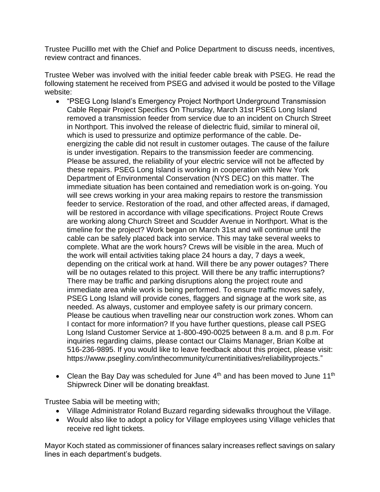Trustee Pucilllo met with the Chief and Police Department to discuss needs, incentives, review contract and finances.

Trustee Weber was involved with the initial feeder cable break with PSEG. He read the following statement he received from PSEG and advised it would be posted to the Village website:

- "PSEG Long Island's Emergency Project Northport Underground Transmission Cable Repair Project Specifics On Thursday, March 31st PSEG Long Island removed a transmission feeder from service due to an incident on Church Street in Northport. This involved the release of dielectric fluid, similar to mineral oil, which is used to pressurize and optimize performance of the cable. Deenergizing the cable did not result in customer outages. The cause of the failure is under investigation. Repairs to the transmission feeder are commencing. Please be assured, the reliability of your electric service will not be affected by these repairs. PSEG Long Island is working in cooperation with New York Department of Environmental Conservation (NYS DEC) on this matter. The immediate situation has been contained and remediation work is on-going. You will see crews working in your area making repairs to restore the transmission feeder to service. Restoration of the road, and other affected areas, if damaged, will be restored in accordance with village specifications. Project Route Crews are working along Church Street and Scudder Avenue in Northport. What is the timeline for the project? Work began on March 31st and will continue until the cable can be safely placed back into service. This may take several weeks to complete. What are the work hours? Crews will be visible in the area. Much of the work will entail activities taking place 24 hours a day, 7 days a week, depending on the critical work at hand. Will there be any power outages? There will be no outages related to this project. Will there be any traffic interruptions? There may be traffic and parking disruptions along the project route and immediate area while work is being performed. To ensure traffic moves safely, PSEG Long Island will provide cones, flaggers and signage at the work site, as needed. As always, customer and employee safety is our primary concern. Please be cautious when travelling near our construction work zones. Whom can I contact for more information? If you have further questions, please call PSEG Long Island Customer Service at 1-800-490-0025 between 8 a.m. and 8 p.m. For inquiries regarding claims, please contact our Claims Manager, Brian Kolbe at 516-236-9895. If you would like to leave feedback about this project, please visit: https://www.psegliny.com/inthecommunity/currentinitiatives/reliabilityprojects."
- Clean the Bay Day was scheduled for June  $4<sup>th</sup>$  and has been moved to June 11<sup>th</sup> Shipwreck Diner will be donating breakfast.

Trustee Sabia will be meeting with;

- Village Administrator Roland Buzard regarding sidewalks throughout the Village.
- Would also like to adopt a policy for Village employees using Village vehicles that receive red light tickets.

Mayor Koch stated as commissioner of finances salary increases reflect savings on salary lines in each department's budgets.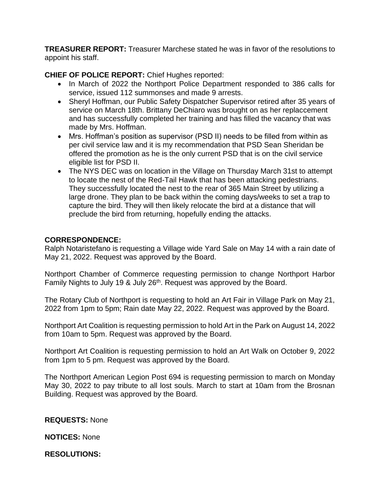**TREASURER REPORT:** Treasurer Marchese stated he was in favor of the resolutions to appoint his staff.

**CHIEF OF POLICE REPORT:** Chief Hughes reported:

- In March of 2022 the Northport Police Department responded to 386 calls for service, issued 112 summonses and made 9 arrests.
- Sheryl Hoffman, our Public Safety Dispatcher Supervisor retired after 35 years of service on March 18th. Brittany DeChiaro was brought on as her replaccement and has successfully completed her training and has filled the vacancy that was made by Mrs. Hoffman.
- Mrs. Hoffman's position as supervisor (PSD II) needs to be filled from within as per civil service law and it is my recommendation that PSD Sean Sheridan be offered the promotion as he is the only current PSD that is on the civil service eligible list for PSD II.
- The NYS DEC was on location in the Village on Thursday March 31st to attempt to locate the nest of the Red-Tail Hawk that has been attacking pedestrians. They successfully located the nest to the rear of 365 Main Street by utilizing a large drone. They plan to be back within the coming days/weeks to set a trap to capture the bird. They will then likely relocate the bird at a distance that will preclude the bird from returning, hopefully ending the attacks.

## **CORRESPONDENCE:**

Ralph Notaristefano is requesting a Village wide Yard Sale on May 14 with a rain date of May 21, 2022. Request was approved by the Board.

Northport Chamber of Commerce requesting permission to change Northport Harbor Family Nights to July 19 & July 26<sup>th</sup>. Request was approved by the Board.

The Rotary Club of Northport is requesting to hold an Art Fair in Village Park on May 21, 2022 from 1pm to 5pm; Rain date May 22, 2022. Request was approved by the Board.

Northport Art Coalition is requesting permission to hold Art in the Park on August 14, 2022 from 10am to 5pm. Request was approved by the Board.

Northport Art Coalition is requesting permission to hold an Art Walk on October 9, 2022 from 1pm to 5 pm. Request was approved by the Board.

The Northport American Legion Post 694 is requesting permission to march on Monday May 30, 2022 to pay tribute to all lost souls. March to start at 10am from the Brosnan Building. Request was approved by the Board.

**REQUESTS:** None

**NOTICES:** None

**RESOLUTIONS:**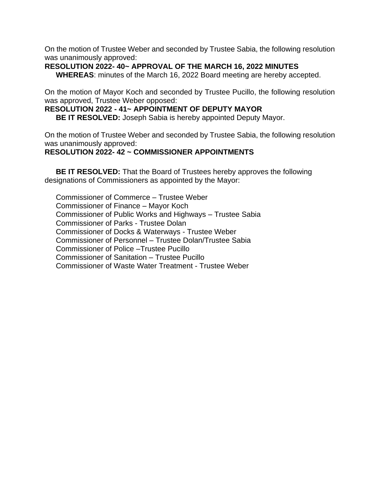On the motion of Trustee Weber and seconded by Trustee Sabia, the following resolution was unanimously approved:

## **RESOLUTION 2022- 40~ APPROVAL OF THE MARCH 16, 2022 MINUTES**

**WHEREAS**: minutes of the March 16, 2022 Board meeting are hereby accepted.

On the motion of Mayor Koch and seconded by Trustee Pucillo, the following resolution was approved, Trustee Weber opposed:

#### **RESOLUTION 2022 - 41~ APPOINTMENT OF DEPUTY MAYOR**

**BE IT RESOLVED:** Joseph Sabia is hereby appointed Deputy Mayor.

On the motion of Trustee Weber and seconded by Trustee Sabia, the following resolution was unanimously approved:

## **RESOLUTION 2022- 42 ~ COMMISSIONER APPOINTMENTS**

**BE IT RESOLVED:** That the Board of Trustees hereby approves the following designations of Commissioners as appointed by the Mayor:

Commissioner of Commerce – Trustee Weber Commissioner of Finance – Mayor Koch Commissioner of Public Works and Highways – Trustee Sabia Commissioner of Parks - Trustee Dolan Commissioner of Docks & Waterways - Trustee Weber Commissioner of Personnel – Trustee Dolan/Trustee Sabia Commissioner of Police –Trustee Pucillo Commissioner of Sanitation – Trustee Pucillo Commissioner of Waste Water Treatment - Trustee Weber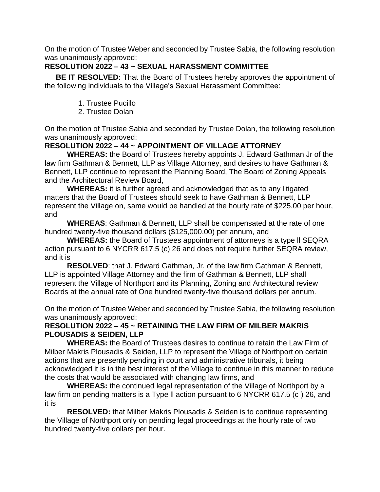On the motion of Trustee Weber and seconded by Trustee Sabia, the following resolution was unanimously approved:

# **RESOLUTION 2022 – 43 ~ SEXUAL HARASSMENT COMMITTEE**

**BE IT RESOLVED:** That the Board of Trustees hereby approves the appointment of the following individuals to the Village's Sexual Harassment Committee:

- 1. Trustee Pucillo
- 2. Trustee Dolan

On the motion of Trustee Sabia and seconded by Trustee Dolan, the following resolution was unanimously approved:

# **RESOLUTION 2022 – 44 ~ APPOINTMENT OF VILLAGE ATTORNEY**

**WHEREAS:** the Board of Trustees hereby appoints J. Edward Gathman Jr of the law firm Gathman & Bennett, LLP as Village Attorney, and desires to have Gathman & Bennett, LLP continue to represent the Planning Board, The Board of Zoning Appeals and the Architectural Review Board,

**WHEREAS:** it is further agreed and acknowledged that as to any litigated matters that the Board of Trustees should seek to have Gathman & Bennett, LLP represent the Village on, same would be handled at the hourly rate of \$225.00 per hour, and

**WHEREAS**: Gathman & Bennett, LLP shall be compensated at the rate of one hundred twenty-five thousand dollars (\$125,000.00) per annum, and

**WHEREAS:** the Board of Trustees appointment of attorneys is a type ll SEQRA action pursuant to 6 NYCRR 617.5 (c) 26 and does not require further SEQRA review, and it is

**RESOLVED**: that J. Edward Gathman, Jr. of the law firm Gathman & Bennett, LLP is appointed Village Attorney and the firm of Gathman & Bennett, LLP shall represent the Village of Northport and its Planning, Zoning and Architectural review Boards at the annual rate of One hundred twenty-five thousand dollars per annum.

On the motion of Trustee Weber and seconded by Trustee Sabia, the following resolution was unanimously approved:

# **RESOLUTION 2022 – 45 ~ RETAINING THE LAW FIRM OF MILBER MAKRIS PLOUSADIS & SEIDEN, LLP**

**WHEREAS:** the Board of Trustees desires to continue to retain the Law Firm of Milber Makris Plousadis & Seiden, LLP to represent the Village of Northport on certain actions that are presently pending in court and administrative tribunals, it being acknowledged it is in the best interest of the Village to continue in this manner to reduce the costs that would be associated with changing law firms, and

**WHEREAS:** the continued legal representation of the Village of Northport by a law firm on pending matters is a Type ll action pursuant to 6 NYCRR 617.5 (c ) 26, and it is

**RESOLVED:** that Milber Makris Plousadis & Seiden is to continue representing the Village of Northport only on pending legal proceedings at the hourly rate of two hundred twenty-five dollars per hour.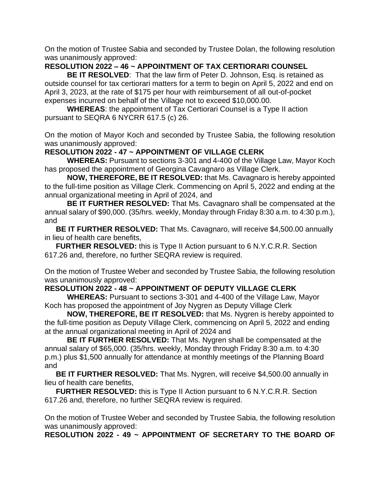On the motion of Trustee Sabia and seconded by Trustee Dolan, the following resolution was unanimously approved:

## **RESOLUTION 2022 – 46 ~ APPOINTMENT OF TAX CERTIORARI COUNSEL**

**BE IT RESOLVED**: That the law firm of Peter D. Johnson, Esq. is retained as outside counsel for tax certiorari matters for a term to begin on April 5, 2022 and end on April 3, 2023, at the rate of \$175 per hour with reimbursement of all out-of-pocket expenses incurred on behalf of the Village not to exceed \$10,000.00.

**WHEREAS**: the appointment of Tax Certiorari Counsel is a Type II action pursuant to SEQRA 6 NYCRR 617.5 (c) 26.

On the motion of Mayor Koch and seconded by Trustee Sabia, the following resolution was unanimously approved:

## **RESOLUTION 2022 - 47 ~ APPOINTMENT OF VILLAGE CLERK**

**WHEREAS:** Pursuant to sections 3-301 and 4-400 of the Village Law, Mayor Koch has proposed the appointment of Georgina Cavagnaro as Village Clerk.

**NOW, THEREFORE, BE IT RESOLVED:** that Ms. Cavagnaro is hereby appointed to the full-time position as Village Clerk. Commencing on April 5, 2022 and ending at the annual organizational meeting in April of 2024, and

**BE IT FURTHER RESOLVED:** That Ms. Cavagnaro shall be compensated at the annual salary of \$90,000. (35/hrs. weekly, Monday through Friday 8:30 a.m. to 4:30 p.m.), and

**BE IT FURTHER RESOLVED:** That Ms. Cavagnaro, will receive \$4,500.00 annually in lieu of health care benefits,

**FURTHER RESOLVED:** this is Type II Action pursuant to 6 N.Y.C.R.R. Section 617.26 and, therefore, no further SEQRA review is required.

On the motion of Trustee Weber and seconded by Trustee Sabia, the following resolution was unanimously approved:

## **RESOLUTION 2022 - 48 ~ APPOINTMENT OF DEPUTY VILLAGE CLERK**

**WHEREAS:** Pursuant to sections 3-301 and 4-400 of the Village Law, Mayor Koch has proposed the appointment of Joy Nygren as Deputy Village Clerk

**NOW, THEREFORE, BE IT RESOLVED:** that Ms. Nygren is hereby appointed to the full-time position as Deputy Village Clerk, commencing on April 5, 2022 and ending at the annual organizational meeting in April of 2024 and

**BE IT FURTHER RESOLVED:** That Ms. Nygren shall be compensated at the annual salary of \$65,000. (35/hrs. weekly, Monday through Friday 8:30 a.m. to 4:30 p.m.) plus \$1,500 annually for attendance at monthly meetings of the Planning Board and

**BE IT FURTHER RESOLVED:** That Ms. Nygren, will receive \$4,500.00 annually in lieu of health care benefits,

**FURTHER RESOLVED:** this is Type II Action pursuant to 6 N.Y.C.R.R. Section 617.26 and, therefore, no further SEQRA review is required.

On the motion of Trustee Weber and seconded by Trustee Sabia, the following resolution was unanimously approved:

**RESOLUTION 2022 - 49 ~ APPOINTMENT OF SECRETARY TO THE BOARD OF**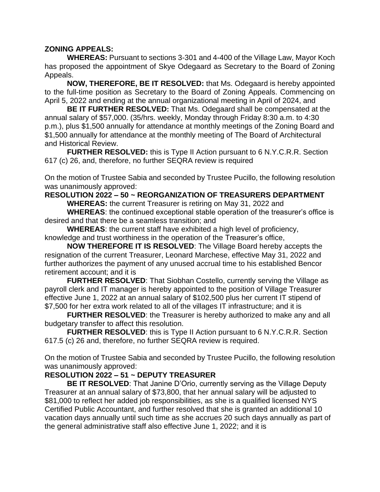## **ZONING APPEALS:**

**WHEREAS:** Pursuant to sections 3-301 and 4-400 of the Village Law, Mayor Koch has proposed the appointment of Skye Odegaard as Secretary to the Board of Zoning Appeals.

**NOW, THEREFORE, BE IT RESOLVED:** that Ms. Odegaard is hereby appointed to the full-time position as Secretary to the Board of Zoning Appeals. Commencing on April 5, 2022 and ending at the annual organizational meeting in April of 2024, and

**BE IT FURTHER RESOLVED:** That Ms. Odegaard shall be compensated at the annual salary of \$57,000. (35/hrs. weekly, Monday through Friday 8:30 a.m. to 4:30 p.m.), plus \$1,500 annually for attendance at monthly meetings of the Zoning Board and \$1,500 annually for attendance at the monthly meeting of The Board of Architectural and Historical Review.

**FURTHER RESOLVED:** this is Type II Action pursuant to 6 N.Y.C.R.R. Section 617 (c) 26, and, therefore, no further SEQRA review is required

On the motion of Trustee Sabia and seconded by Trustee Pucillo, the following resolution was unanimously approved:

#### **RESOLUTION 2022 – 50 ~ REORGANIZATION OF TREASURERS DEPARTMENT WHEREAS:** the current Treasurer is retiring on May 31, 2022 and

**WHEREAS**: the continued exceptional stable operation of the treasurer's office is desired and that there be a seamless transition; and

**WHEREAS**: the current staff have exhibited a high level of proficiency, knowledge and trust worthiness in the operation of the Treasurer's office,

**NOW THEREFORE IT IS RESOLVED**: The Village Board hereby accepts the resignation of the current Treasurer, Leonard Marchese, effective May 31, 2022 and further authorizes the payment of any unused accrual time to his established Bencor retirement account; and it is

**FURTHER RESOLVED:** That Siobhan Costello, currently serving the Village as payroll clerk and IT manager is hereby appointed to the position of Village Treasurer effective June 1, 2022 at an annual salary of \$102,500 plus her current IT stipend of \$7,500 for her extra work related to all of the villages IT infrastructure; and it is

**FURTHER RESOLVED:** the Treasurer is hereby authorized to make any and all budgetary transfer to affect this resolution.

**FURTHER RESOLVED**: this is Type II Action pursuant to 6 N.Y.C.R.R. Section 617.5 (c) 26 and, therefore, no further SEQRA review is required.

On the motion of Trustee Sabia and seconded by Trustee Pucillo, the following resolution was unanimously approved:

# **RESOLUTION 2022 – 51 ~ DEPUTY TREASURER**

**BE IT RESOLVED:** That Janine D'Orio, currently serving as the Village Deputy Treasurer at an annual salary of \$73,800, that her annual salary will be adjusted to \$81,000 to reflect her added job responsibilities, as she is a qualified licensed NYS Certified Public Accountant, and further resolved that she is granted an additional 10 vacation days annually until such time as she accrues 20 such days annually as part of the general administrative staff also effective June 1, 2022; and it is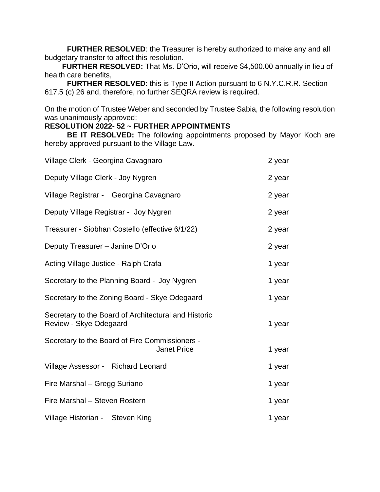**FURTHER RESOLVED**: the Treasurer is hereby authorized to make any and all budgetary transfer to affect this resolution.

 **FURTHER RESOLVED:** That Ms. D'Orio, will receive \$4,500.00 annually in lieu of health care benefits,

**FURTHER RESOLVED**: this is Type II Action pursuant to 6 N.Y.C.R.R. Section 617.5 (c) 26 and, therefore, no further SEQRA review is required.

On the motion of Trustee Weber and seconded by Trustee Sabia, the following resolution was unanimously approved:

# **RESOLUTION 2022- 52 ~ FURTHER APPOINTMENTS**

**BE IT RESOLVED:** The following appointments proposed by Mayor Koch are hereby approved pursuant to the Village Law.

| Village Clerk - Georgina Cavagnaro                                             | 2 year |
|--------------------------------------------------------------------------------|--------|
| Deputy Village Clerk - Joy Nygren                                              | 2 year |
| Village Registrar - Georgina Cavagnaro                                         | 2 year |
| Deputy Village Registrar - Joy Nygren                                          | 2 year |
| Treasurer - Siobhan Costello (effective 6/1/22)                                | 2 year |
| Deputy Treasurer - Janine D'Orio                                               | 2 year |
| Acting Village Justice - Ralph Crafa                                           | 1 year |
| Secretary to the Planning Board - Joy Nygren                                   | 1 year |
| Secretary to the Zoning Board - Skye Odegaard                                  | 1 year |
| Secretary to the Board of Architectural and Historic<br>Review - Skye Odegaard | 1 year |
| Secretary to the Board of Fire Commissioners -<br><b>Janet Price</b>           | 1 year |
| Village Assessor - Richard Leonard                                             | 1 year |
| Fire Marshal - Gregg Suriano                                                   | 1 year |
| Fire Marshal - Steven Rostern                                                  | 1 year |
| Village Historian - Steven King                                                | 1 year |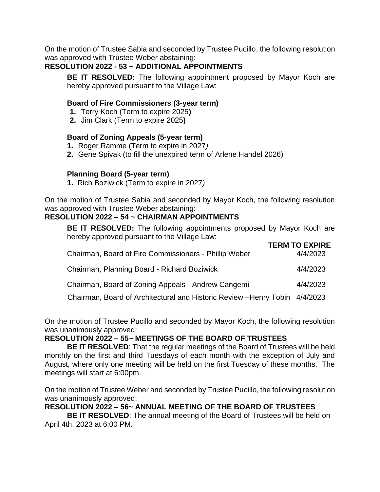On the motion of Trustee Sabia and seconded by Trustee Pucillo, the following resolution was approved with Trustee Weber abstaining:

## **RESOLUTION 2022 - 53 ~ ADDITIONAL APPOINTMENTS**

**BE IT RESOLVED:** The following appointment proposed by Mayor Koch are hereby approved pursuant to the Village Law:

#### **Board of Fire Commissioners (3-year term)**

- **1.** Terry Koch (Term to expire 2025**)**
- **2.** Jim Clark (Term to expire 2025**)**

#### **Board of Zoning Appeals (5-year term)**

- **1.** Roger Ramme (Term to expire in 2027*)*
- **2.** Gene Spivak (to fill the unexpired term of Arlene Handel 2026)

#### **Planning Board (5-year term)**

**1.** Rich Boziwick (Term to expire in 2027*)*

On the motion of Trustee Sabia and seconded by Mayor Koch, the following resolution was approved with Trustee Weber abstaining:

## **RESOLUTION 2022 – 54 ~ CHAIRMAN APPOINTMENTS**

**BE IT RESOLVED:** The following appointments proposed by Mayor Koch are hereby approved pursuant to the Village Law:

|                                                                               | <b>TERM TO EXPIRE</b> |
|-------------------------------------------------------------------------------|-----------------------|
| Chairman, Board of Fire Commissioners - Phillip Weber                         | 4/4/2023              |
| Chairman, Planning Board - Richard Boziwick                                   | 4/4/2023              |
| Chairman, Board of Zoning Appeals - Andrew Cangemi                            | 4/4/2023              |
| Chaimson, Deand of Angliteatural and Historic Devisur. Henry, Table  4/4/0000 |                       |

Chairman, Board of Architectural and Historic Review –Henry Tobin 4/4/2023

On the motion of Trustee Pucillo and seconded by Mayor Koch, the following resolution was unanimously approved:

## **RESOLUTION 2022 – 55~ MEETINGS OF THE BOARD OF TRUSTEES**

**BE IT RESOLVED**: That the regular meetings of the Board of Trustees will be held monthly on the first and third Tuesdays of each month with the exception of July and August, where only one meeting will be held on the first Tuesday of these months. The meetings will start at 6:00pm.

On the motion of Trustee Weber and seconded by Trustee Pucillo, the following resolution was unanimously approved:

## **RESOLUTION 2022 – 56~ ANNUAL MEETING OF THE BOARD OF TRUSTEES**

**BE IT RESOLVED**: The annual meeting of the Board of Trustees will be held on April 4th, 2023 at 6:00 PM.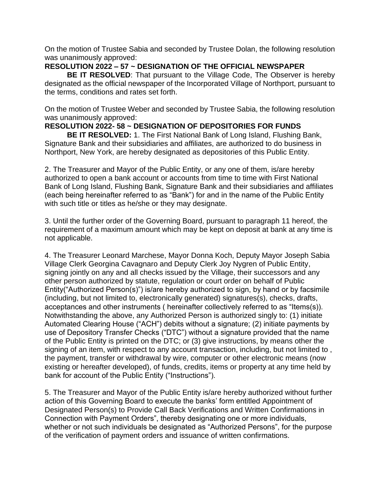On the motion of Trustee Sabia and seconded by Trustee Dolan, the following resolution was unanimously approved:

## **RESOLUTION 2022 – 57 ~ DESIGNATION OF THE OFFICIAL NEWSPAPER**

**BE IT RESOLVED:** That pursuant to the Village Code, The Observer is hereby designated as the official newspaper of the Incorporated Village of Northport, pursuant to the terms, conditions and rates set forth.

On the motion of Trustee Weber and seconded by Trustee Sabia, the following resolution was unanimously approved:

# **RESOLUTION 2022- 58 ~ DESIGNATION OF DEPOSITORIES FOR FUNDS**

**BE IT RESOLVED:** 1. The First National Bank of Long Island, Flushing Bank, Signature Bank and their subsidiaries and affiliates, are authorized to do business in Northport, New York, are hereby designated as depositories of this Public Entity.

2. The Treasurer and Mayor of the Public Entity, or any one of them, is/are hereby authorized to open a bank account or accounts from time to time with First National Bank of Long Island, Flushing Bank, Signature Bank and their subsidiaries and affiliates (each being hereinafter referred to as "Bank") for and in the name of the Public Entity with such title or titles as he/she or they may designate.

3. Until the further order of the Governing Board, pursuant to paragraph 11 hereof, the requirement of a maximum amount which may be kept on deposit at bank at any time is not applicable.

4. The Treasurer Leonard Marchese, Mayor Donna Koch, Deputy Mayor Joseph Sabia Village Clerk Georgina Cavagnaro and Deputy Clerk Joy Nygren of Public Entity, signing jointly on any and all checks issued by the Village, their successors and any other person authorized by statute, regulation or court order on behalf of Public Entity("Authorized Person(s)") is/are hereby authorized to sign, by hand or by facsimile (including, but not limited to, electronically generated) signatures(s), checks, drafts, acceptances and other instruments ( hereinafter collectively referred to as "Items(s)). Notwithstanding the above, any Authorized Person is authorized singly to: (1) initiate Automated Clearing House ("ACH") debits without a signature; (2) initiate payments by use of Depository Transfer Checks ("DTC") without a signature provided that the name of the Public Entity is printed on the DTC; or (3) give instructions, by means other the signing of an item, with respect to any account transaction, including, but not limited to , the payment, transfer or withdrawal by wire, computer or other electronic means (now existing or hereafter developed), of funds, credits, items or property at any time held by bank for account of the Public Entity ("Instructions").

5. The Treasurer and Mayor of the Public Entity is/are hereby authorized without further action of this Governing Board to execute the banks' form entitled Appointment of Designated Person(s) to Provide Call Back Verifications and Written Confirmations in Connection with Payment Orders", thereby designating one or more individuals, whether or not such individuals be designated as "Authorized Persons", for the purpose of the verification of payment orders and issuance of written confirmations.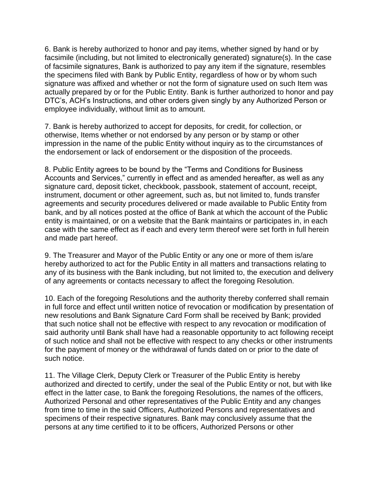6. Bank is hereby authorized to honor and pay items, whether signed by hand or by facsimile (including, but not limited to electronically generated) signature(s). In the case of facsimile signatures, Bank is authorized to pay any item if the signature, resembles the specimens filed with Bank by Public Entity, regardless of how or by whom such signature was affixed and whether or not the form of signature used on such Item was actually prepared by or for the Public Entity. Bank is further authorized to honor and pay DTC's, ACH's Instructions, and other orders given singly by any Authorized Person or employee individually, without limit as to amount.

7. Bank is hereby authorized to accept for deposits, for credit, for collection, or otherwise, Items whether or not endorsed by any person or by stamp or other impression in the name of the public Entity without inquiry as to the circumstances of the endorsement or lack of endorsement or the disposition of the proceeds.

8. Public Entity agrees to be bound by the "Terms and Conditions for Business Accounts and Services," currently in effect and as amended hereafter, as well as any signature card, deposit ticket, checkbook, passbook, statement of account, receipt, instrument, document or other agreement, such as, but not limited to, funds transfer agreements and security procedures delivered or made available to Public Entity from bank, and by all notices posted at the office of Bank at which the account of the Public entity is maintained, or on a website that the Bank maintains or participates in, in each case with the same effect as if each and every term thereof were set forth in full herein and made part hereof.

9. The Treasurer and Mayor of the Public Entity or any one or more of them is/are hereby authorized to act for the Public Entity in all matters and transactions relating to any of its business with the Bank including, but not limited to, the execution and delivery of any agreements or contacts necessary to affect the foregoing Resolution.

10. Each of the foregoing Resolutions and the authority thereby conferred shall remain in full force and effect until written notice of revocation or modification by presentation of new resolutions and Bank Signature Card Form shall be received by Bank; provided that such notice shall not be effective with respect to any revocation or modification of said authority until Bank shall have had a reasonable opportunity to act following receipt of such notice and shall not be effective with respect to any checks or other instruments for the payment of money or the withdrawal of funds dated on or prior to the date of such notice.

11. The Village Clerk, Deputy Clerk or Treasurer of the Public Entity is hereby authorized and directed to certify, under the seal of the Public Entity or not, but with like effect in the latter case, to Bank the foregoing Resolutions, the names of the officers, Authorized Personal and other representatives of the Public Entity and any changes from time to time in the said Officers, Authorized Persons and representatives and specimens of their respective signatures. Bank may conclusively assume that the persons at any time certified to it to be officers, Authorized Persons or other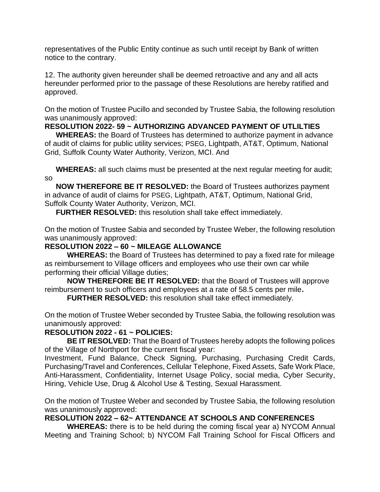representatives of the Public Entity continue as such until receipt by Bank of written notice to the contrary.

12. The authority given hereunder shall be deemed retroactive and any and all acts hereunder performed prior to the passage of these Resolutions are hereby ratified and approved.

On the motion of Trustee Pucillo and seconded by Trustee Sabia, the following resolution was unanimously approved:

# **RESOLUTION 2022- 59 ~ AUTHORIZING ADVANCED PAYMENT OF UTLILTIES**

**WHEREAS:** the Board of Trustees has determined to authorize payment in advance of audit of claims for public utility services; PSEG, Lightpath, AT&T, Optimum, National Grid, Suffolk County Water Authority, Verizon, MCI. And

**WHEREAS:** all such claims must be presented at the next regular meeting for audit; so

**NOW THEREFORE BE IT RESOLVED:** the Board of Trustees authorizes payment in advance of audit of claims for PSEG, Lightpath, AT&T, Optimum, National Grid, Suffolk County Water Authority, Verizon, MCI.

**FURTHER RESOLVED:** this resolution shall take effect immediately.

On the motion of Trustee Sabia and seconded by Trustee Weber, the following resolution was unanimously approved:

## **RESOLUTION 2022 – 60 ~ MILEAGE ALLOWANCE**

**WHEREAS:** the Board of Trustees has determined to pay a fixed rate for mileage as reimbursement to Village officers and employees who use their own car while performing their official Village duties;

**NOW THEREFORE BE IT RESOLVED:** that the Board of Trustees will approve reimbursement to such officers and employees at a rate of 58.5 cents per mile**.**

**FURTHER RESOLVED:** this resolution shall take effect immediately.

On the motion of Trustee Weber seconded by Trustee Sabia, the following resolution was unanimously approved:

# **RESOLUTION 2022 - 61 ~ POLICIES:**

**BE IT RESOLVED:** That the Board of Trustees hereby adopts the following polices of the Village of Northport for the current fiscal year:

Investment, Fund Balance, Check Signing, Purchasing, Purchasing Credit Cards, Purchasing/Travel and Conferences, Cellular Telephone, Fixed Assets, Safe Work Place, Anti-Harassment, Confidentiality, Internet Usage Policy, social media, Cyber Security, Hiring, Vehicle Use, Drug & Alcohol Use & Testing, Sexual Harassment.

On the motion of Trustee Weber and seconded by Trustee Sabia, the following resolution was unanimously approved:

# **RESOLUTION 2022 – 62~ ATTENDANCE AT SCHOOLS AND CONFERENCES**

**WHEREAS:** there is to be held during the coming fiscal year a) NYCOM Annual Meeting and Training School; b) NYCOM Fall Training School for Fiscal Officers and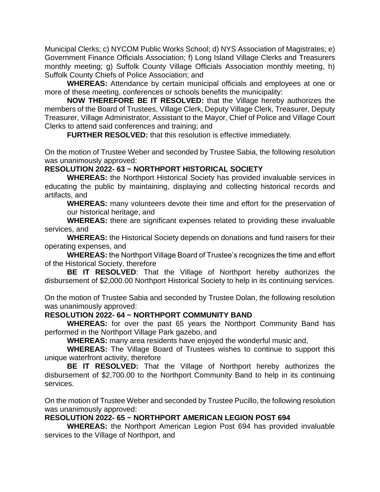Municipal Clerks; c) NYCOM Public Works School; d) NYS Association of Magistrates; e) Government Finance Officials Association; f) Long Island Village Clerks and Treasurers monthly meeting; g) Suffolk County Village Officials Association monthly meeting, h) Suffolk County Chiefs of Police Association; and

**WHEREAS:** Attendance by certain municipal officials and employees at one or more of these meeting, conferences or schools benefits the municipality:

**NOW THEREFORE BE IT RESOLVED:** that the Village hereby authorizes the members of the Board of Trustees, Village Clerk, Deputy Village Clerk, Treasurer, Deputy Treasurer, Village Administrator, Assistant to the Mayor, Chief of Police and Village Court Clerks to attend said conferences and training; and

**FURTHER RESOLVED:** that this resolution is effective immediately.

On the motion of Trustee Weber and seconded by Trustee Sabia, the following resolution was unanimously approved:

## **RESOLUTION 2022- 63 ~ NORTHPORT HISTORICAL SOCIETY**

**WHEREAS:** the Northport Historical Society has provided invaluable services in educating the public by maintaining, displaying and collecting historical records and artifacts, and

 **WHEREAS:** many volunteers devote their time and effort for the preservation of our historical heritage, and

**WHEREAS:** there are significant expenses related to providing these invaluable services, and

**WHEREAS:** the Historical Society depends on donations and fund raisers for their operating expenses, and

**WHEREAS:** the Northport Village Board of Trustee's recognizes the time and effort of the Historical Society, therefore

**BE IT RESOLVED**: That the Village of Northport hereby authorizes the disbursement of \$2,000.00 Northport Historical Society to help in its continuing services.

On the motion of Trustee Sabia and seconded by Trustee Dolan, the following resolution was unanimously approved:

## **RESOLUTION 2022- 64 ~ NORTHPORT COMMUNITY BAND**

**WHEREAS:** for over the past 65 years the Northport Community Band has performed in the Northport Village Park gazebo, and

**WHEREAS:** many area residents have enjoyed the wonderful music and,

**WHEREAS:** The Village Board of Trustees wishes to continue to support this unique waterfront activity, therefore

**BE IT RESOLVED:** That the Village of Northport hereby authorizes the disbursement of \$2,700.00 to the Northport Community Band to help in its continuing services.

On the motion of Trustee Weber and seconded by Trustee Pucillo, the following resolution was unanimously approved:

## **RESOLUTION 2022- 65 ~ NORTHPORT AMERICAN LEGION POST 694**

**WHEREAS:** the Northport American Legion Post 694 has provided invaluable services to the Village of Northport, and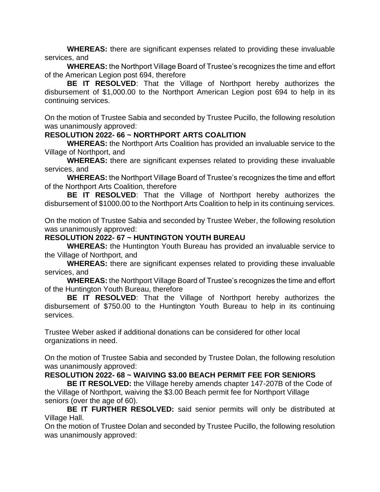**WHEREAS:** there are significant expenses related to providing these invaluable services, and

**WHEREAS:** the Northport Village Board of Trustee's recognizes the time and effort of the American Legion post 694, therefore

**BE IT RESOLVED**: That the Village of Northport hereby authorizes the disbursement of \$1,000.00 to the Northport American Legion post 694 to help in its continuing services.

On the motion of Trustee Sabia and seconded by Trustee Pucillo, the following resolution was unanimously approved:

## **RESOLUTION 2022- 66 ~ NORTHPORT ARTS COALITION**

**WHEREAS:** the Northport Arts Coalition has provided an invaluable service to the Village of Northport, and

**WHEREAS:** there are significant expenses related to providing these invaluable services, and

**WHEREAS:** the Northport Village Board of Trustee's recognizes the time and effort of the Northport Arts Coalition, therefore

**BE IT RESOLVED**: That the Village of Northport hereby authorizes the disbursement of \$1000.00 to the Northport Arts Coalition to help in its continuing services.

On the motion of Trustee Sabia and seconded by Trustee Weber, the following resolution was unanimously approved:

#### **RESOLUTION 2022- 67 ~ HUNTINGTON YOUTH BUREAU**

**WHEREAS:** the Huntington Youth Bureau has provided an invaluable service to the Village of Northport, and

**WHEREAS:** there are significant expenses related to providing these invaluable services, and

**WHEREAS:** the Northport Village Board of Trustee's recognizes the time and effort of the Huntington Youth Bureau, therefore

**BE IT RESOLVED**: That the Village of Northport hereby authorizes the disbursement of \$750.00 to the Huntington Youth Bureau to help in its continuing services.

Trustee Weber asked if additional donations can be considered for other local organizations in need.

On the motion of Trustee Sabia and seconded by Trustee Dolan, the following resolution was unanimously approved:

## **RESOLUTION 2022- 68 ~ WAIVING \$3.00 BEACH PERMIT FEE FOR SENIORS**

**BE IT RESOLVED:** the Village hereby amends chapter 147-207B of the Code of the Village of Northport, waiving the \$3.00 Beach permit fee for Northport Village seniors (over the age of 60).

**BE IT FURTHER RESOLVED:** said senior permits will only be distributed at Village Hall.

On the motion of Trustee Dolan and seconded by Trustee Pucillo, the following resolution was unanimously approved: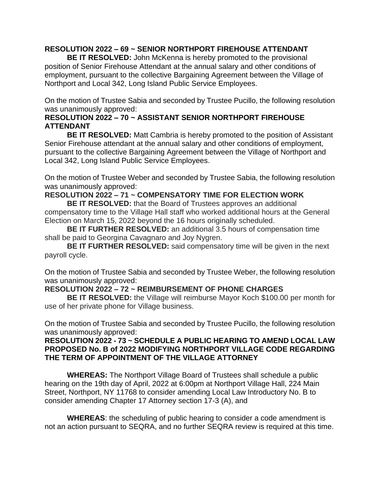## **RESOLUTION 2022 – 69 ~ SENIOR NORTHPORT FIREHOUSE ATTENDANT**

**BE IT RESOLVED:** John McKenna is hereby promoted to the provisional position of Senior Firehouse Attendant at the annual salary and other conditions of employment, pursuant to the collective Bargaining Agreement between the Village of Northport and Local 342, Long Island Public Service Employees.

On the motion of Trustee Sabia and seconded by Trustee Pucillo, the following resolution was unanimously approved:

## **RESOLUTION 2022 – 70 ~ ASSISTANT SENIOR NORTHPORT FIREHOUSE ATTENDANT**

**BE IT RESOLVED:** Matt Cambria is hereby promoted to the position of Assistant Senior Firehouse attendant at the annual salary and other conditions of employment, pursuant to the collective Bargaining Agreement between the Village of Northport and Local 342, Long Island Public Service Employees.

On the motion of Trustee Weber and seconded by Trustee Sabia, the following resolution was unanimously approved:

# **RESOLUTION 2022 – 71 ~ COMPENSATORY TIME FOR ELECTION WORK**

**BE IT RESOLVED:** that the Board of Trustees approves an additional compensatory time to the Village Hall staff who worked additional hours at the General Election on March 15, 2022 beyond the 16 hours originally scheduled.

**BE IT FURTHER RESOLVED:** an additional 3.5 hours of compensation time shall be paid to Georgina Cavagnaro and Joy Nygren.

**BE IT FURTHER RESOLVED:** said compensatory time will be given in the next payroll cycle.

On the motion of Trustee Sabia and seconded by Trustee Weber, the following resolution was unanimously approved:

## **RESOLUTION 2022 – 72 ~ REIMBURSEMENT OF PHONE CHARGES**

**BE IT RESOLVED:** the Village will reimburse Mayor Koch \$100.00 per month for use of her private phone for Village business.

On the motion of Trustee Sabia and seconded by Trustee Pucillo, the following resolution was unanimously approved:

## **RESOLUTION 2022 - 73 ~ SCHEDULE A PUBLIC HEARING TO AMEND LOCAL LAW PROPOSED No. B of 2022 MODIFYING NORTHPORT VILLAGE CODE REGARDING THE TERM OF APPOINTMENT OF THE VILLAGE ATTORNEY**

**WHEREAS:** The Northport Village Board of Trustees shall schedule a public hearing on the 19th day of April, 2022 at 6:00pm at Northport Village Hall, 224 Main Street, Northport, NY 11768 to consider amending Local Law Introductory No. B to consider amending Chapter 17 Attorney section 17-3 (A), and

**WHEREAS**: the scheduling of public hearing to consider a code amendment is not an action pursuant to SEQRA, and no further SEQRA review is required at this time.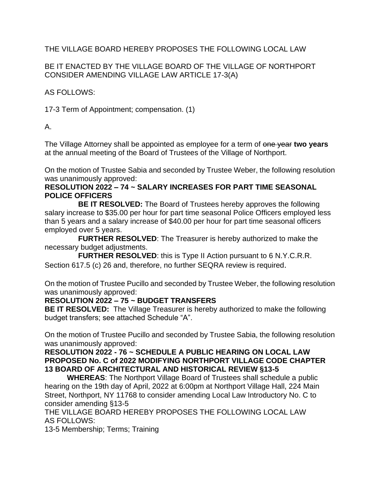# THE VILLAGE BOARD HEREBY PROPOSES THE FOLLOWING LOCAL LAW

# BE IT ENACTED BY THE VILLAGE BOARD OF THE VILLAGE OF NORTHPORT CONSIDER AMENDING VILLAGE LAW ARTICLE 17-3(A)

AS FOLLOWS:

17-3 Term of Appointment; compensation. (1)

A.

The Village Attorney shall be appointed as employee for a term of one year **two years** at the annual meeting of the Board of Trustees of the Village of Northport.

On the motion of Trustee Sabia and seconded by Trustee Weber, the following resolution was unanimously approved:

## **RESOLUTION 2022 – 74 ~ SALARY INCREASES FOR PART TIME SEASONAL POLICE OFFICERS**

**BE IT RESOLVED:** The Board of Trustees hereby approves the following salary increase to \$35.00 per hour for part time seasonal Police Officers employed less than 5 years and a salary increase of \$40.00 per hour for part time seasonal officers employed over 5 years.

**FURTHER RESOLVED**: The Treasurer is hereby authorized to make the necessary budget adjustments.

**FURTHER RESOLVED**: this is Type II Action pursuant to 6 N.Y.C.R.R. Section 617.5 (c) 26 and, therefore, no further SEQRA review is required.

On the motion of Trustee Pucillo and seconded by Trustee Weber, the following resolution was unanimously approved:

# **RESOLUTION 2022 – 75 ~ BUDGET TRANSFERS**

**BE IT RESOLVED:** The Village Treasurer is hereby authorized to make the following budget transfers; see attached Schedule "A".

On the motion of Trustee Pucillo and seconded by Trustee Sabia, the following resolution was unanimously approved:

## **RESOLUTION 2022 - 76 ~ SCHEDULE A PUBLIC HEARING ON LOCAL LAW PROPOSED No. C of 2022 MODIFYING NORTHPORT VILLAGE CODE CHAPTER 13 BOARD OF ARCHITECTURAL AND HISTORICAL REVIEW §13-5**

**WHEREAS**: The Northport Village Board of Trustees shall schedule a public hearing on the 19th day of April, 2022 at 6:00pm at Northport Village Hall, 224 Main Street, Northport, NY 11768 to consider amending Local Law Introductory No. C to consider amending §13-5

THE VILLAGE BOARD HEREBY PROPOSES THE FOLLOWING LOCAL LAW AS FOLLOWS:

13-5 Membership; Terms; Training